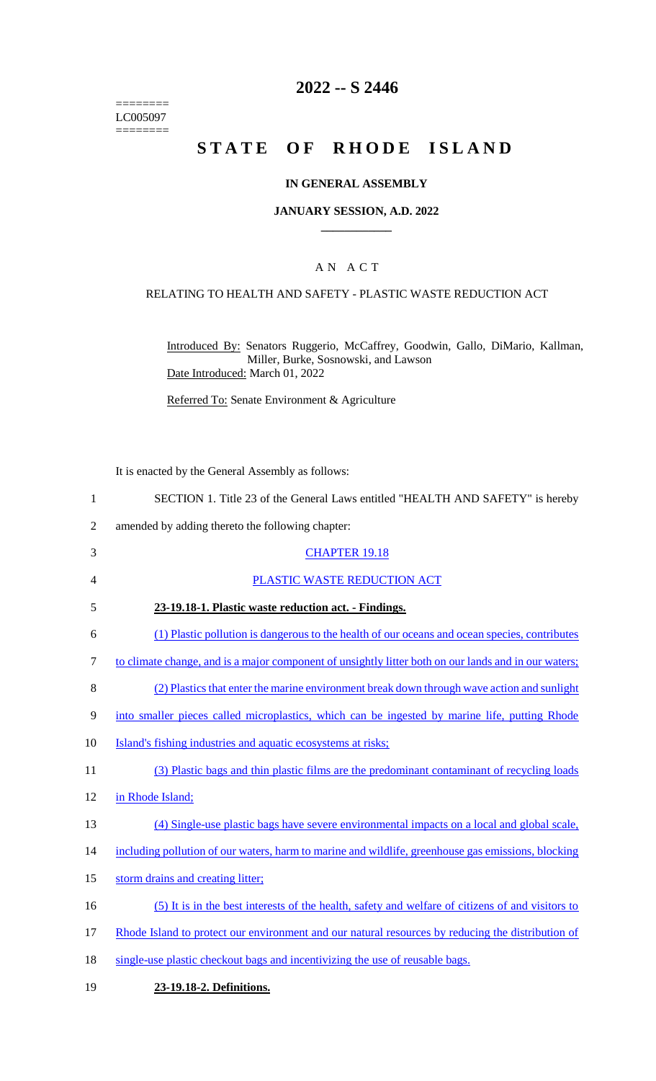======== LC005097  $=$ 

# **2022 -- S 2446**

# **STATE OF RHODE ISLAND**

#### **IN GENERAL ASSEMBLY**

#### **JANUARY SESSION, A.D. 2022 \_\_\_\_\_\_\_\_\_\_\_\_**

### A N A C T

#### RELATING TO HEALTH AND SAFETY - PLASTIC WASTE REDUCTION ACT

Introduced By: Senators Ruggerio, McCaffrey, Goodwin, Gallo, DiMario, Kallman, Miller, Burke, Sosnowski, and Lawson Date Introduced: March 01, 2022

Referred To: Senate Environment & Agriculture

|    | It is enacted by the General Assembly as follows:                                                    |
|----|------------------------------------------------------------------------------------------------------|
| 1  | SECTION 1. Title 23 of the General Laws entitled "HEALTH AND SAFETY" is hereby                       |
| 2  | amended by adding thereto the following chapter:                                                     |
| 3  | <b>CHAPTER 19.18</b>                                                                                 |
| 4  | PLASTIC WASTE REDUCTION ACT                                                                          |
| 5  | 23-19.18-1. Plastic waste reduction act. - Findings.                                                 |
| 6  | (1) Plastic pollution is dangerous to the health of our oceans and ocean species, contributes        |
| 7  | to climate change, and is a major component of unsightly litter both on our lands and in our waters; |
| 8  | (2) Plastics that enter the marine environment break down through wave action and sunlight           |
| 9  | into smaller pieces called microplastics, which can be ingested by marine life, putting Rhode        |
| 10 | Island's fishing industries and aquatic ecosystems at risks;                                         |
| 11 | (3) Plastic bags and thin plastic films are the predominant contaminant of recycling loads           |
| 12 | in Rhode Island;                                                                                     |
| 13 | (4) Single-use plastic bags have severe environmental impacts on a local and global scale,           |
| 14 | including pollution of our waters, harm to marine and wildlife, greenhouse gas emissions, blocking   |
|    |                                                                                                      |

- 15 storm drains and creating litter;
- 16 (5) It is in the best interests of the health, safety and welfare of citizens of and visitors to
- 17 Rhode Island to protect our environment and our natural resources by reducing the distribution of
- 18 single-use plastic checkout bags and incentivizing the use of reusable bags.
- 19 **23-19.18-2. Definitions.**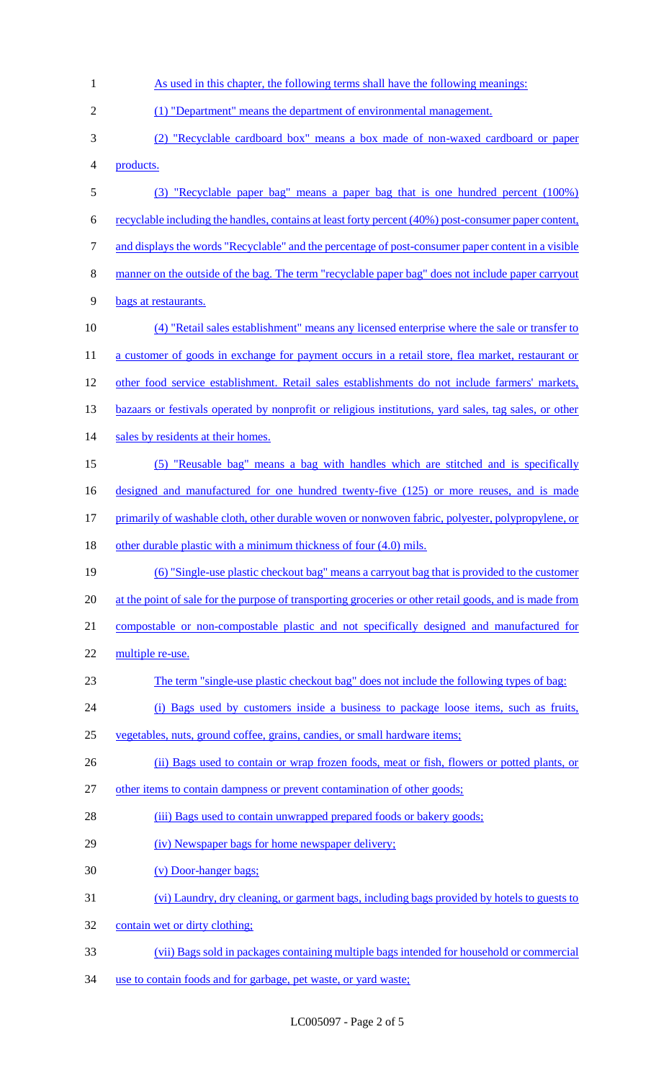| $\mathbf{1}$   | As used in this chapter, the following terms shall have the following meanings:                        |
|----------------|--------------------------------------------------------------------------------------------------------|
| $\overline{2}$ | (1) "Department" means the department of environmental management.                                     |
| 3              | (2) "Recyclable cardboard box" means a box made of non-waxed cardboard or paper                        |
| 4              | products.                                                                                              |
| 5              | (3) "Recyclable paper bag" means a paper bag that is one hundred percent (100%)                        |
| 6              | recyclable including the handles, contains at least forty percent (40%) post-consumer paper content,   |
| $\tau$         | and displays the words "Recyclable" and the percentage of post-consumer paper content in a visible     |
| $\,8\,$        | manner on the outside of the bag. The term "recyclable paper bag" does not include paper carryout      |
| 9              | bags at restaurants.                                                                                   |
| 10             | (4) "Retail sales establishment" means any licensed enterprise where the sale or transfer to           |
| 11             | a customer of goods in exchange for payment occurs in a retail store, flea market, restaurant or       |
| 12             | other food service establishment. Retail sales establishments do not include farmers' markets,         |
| 13             | bazaars or festivals operated by nonprofit or religious institutions, yard sales, tag sales, or other  |
| 14             | sales by residents at their homes.                                                                     |
| 15             | (5) "Reusable bag" means a bag with handles which are stitched and is specifically                     |
| 16             | designed and manufactured for one hundred twenty-five (125) or more reuses, and is made                |
| 17             | primarily of washable cloth, other durable woven or nonwoven fabric, polyester, polypropylene, or      |
| 18             | other durable plastic with a minimum thickness of four (4.0) mils.                                     |
| 19             | (6) "Single-use plastic checkout bag" means a carryout bag that is provided to the customer            |
|                |                                                                                                        |
| 20             | at the point of sale for the purpose of transporting groceries or other retail goods, and is made from |
| 21             | compostable or non-compostable plastic and not specifically designed and manufactured for              |
| 22             | multiple re-use.                                                                                       |
| 23             | The term "single-use plastic checkout bag" does not include the following types of bag:                |
| 24             | (i) Bags used by customers inside a business to package loose items, such as fruits,                   |
| 25             | vegetables, nuts, ground coffee, grains, candies, or small hardware items;                             |
| 26             | (ii) Bags used to contain or wrap frozen foods, meat or fish, flowers or potted plants, or             |
| 27             | other items to contain dampness or prevent contamination of other goods;                               |
| 28             | (iii) Bags used to contain unwrapped prepared foods or bakery goods;                                   |
| 29             | (iv) Newspaper bags for home newspaper delivery;                                                       |
| 30             | (v) Door-hanger bags;                                                                                  |
| 31             | (vi) Laundry, dry cleaning, or garment bags, including bags provided by hotels to guests to            |
| 32             | contain wet or dirty clothing;                                                                         |
| 33             | (vii) Bags sold in packages containing multiple bags intended for household or commercial              |

LC005097 - Page 2 of 5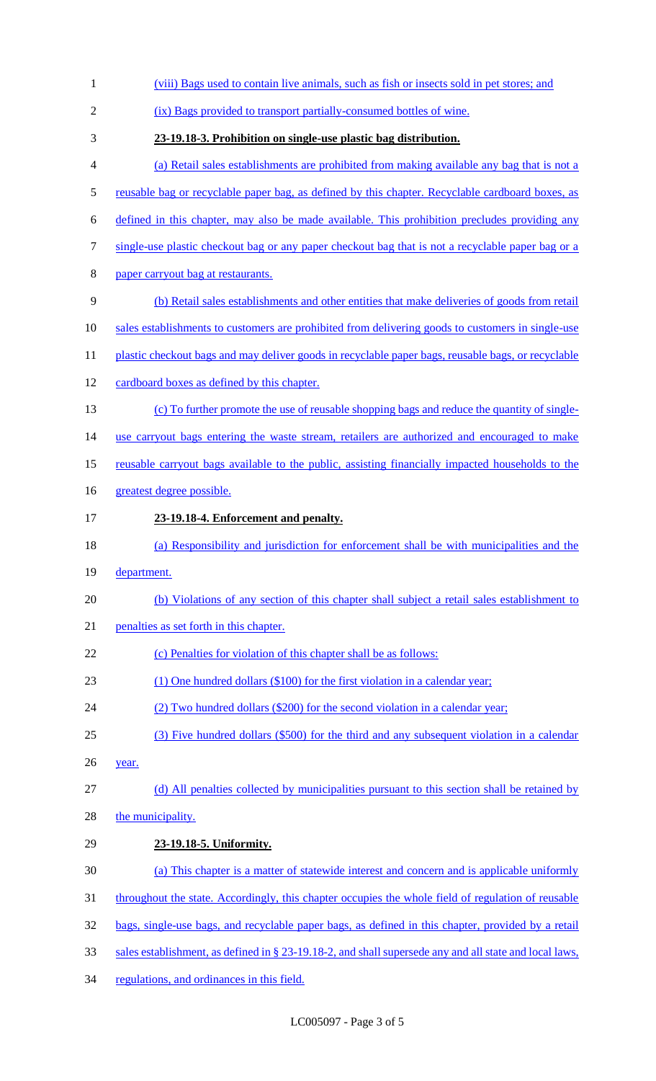| $\mathbf{1}$   | (viii) Bags used to contain live animals, such as fish or insects sold in pet stores; and              |
|----------------|--------------------------------------------------------------------------------------------------------|
| $\overline{2}$ | (ix) Bags provided to transport partially-consumed bottles of wine.                                    |
| 3              | 23-19.18-3. Prohibition on single-use plastic bag distribution.                                        |
| 4              | (a) Retail sales establishments are prohibited from making available any bag that is not a             |
| $\mathfrak s$  | reusable bag or recyclable paper bag, as defined by this chapter. Recyclable cardboard boxes, as       |
| 6              | defined in this chapter, may also be made available. This prohibition precludes providing any          |
| $\tau$         | single-use plastic checkout bag or any paper checkout bag that is not a recyclable paper bag or a      |
| $8\,$          | paper carryout bag at restaurants.                                                                     |
| $\mathbf{9}$   | (b) Retail sales establishments and other entities that make deliveries of goods from retail           |
| 10             | sales establishments to customers are prohibited from delivering goods to customers in single-use      |
| 11             | plastic checkout bags and may deliver goods in recyclable paper bags, reusable bags, or recyclable     |
| 12             | cardboard boxes as defined by this chapter.                                                            |
| 13             | (c) To further promote the use of reusable shopping bags and reduce the quantity of single-            |
| 14             | use carryout bags entering the waste stream, retailers are authorized and encouraged to make           |
| 15             | reusable carryout bags available to the public, assisting financially impacted households to the       |
| 16             | greatest degree possible.                                                                              |
| 17             | 23-19.18-4. Enforcement and penalty.                                                                   |
| 18             | (a) Responsibility and jurisdiction for enforcement shall be with municipalities and the               |
| 19             | department.                                                                                            |
| 20             | (b) Violations of any section of this chapter shall subject a retail sales establishment to            |
| 21             | penalties as set forth in this chapter.                                                                |
| 22             | (c) Penalties for violation of this chapter shall be as follows:                                       |
| 23             | $(1)$ One hundred dollars (\$100) for the first violation in a calendar year;                          |
| 24             | (2) Two hundred dollars (\$200) for the second violation in a calendar year;                           |
| 25             | (3) Five hundred dollars (\$500) for the third and any subsequent violation in a calendar              |
| 26             | year.                                                                                                  |
| 27             | (d) All penalties collected by municipalities pursuant to this section shall be retained by            |
| 28             | the municipality.                                                                                      |
| 29             | 23-19.18-5. Uniformity.                                                                                |
| 30             | (a) This chapter is a matter of statewide interest and concern and is applicable uniformly             |
| 31             | throughout the state. Accordingly, this chapter occupies the whole field of regulation of reusable     |
| 32             | bags, single-use bags, and recyclable paper bags, as defined in this chapter, provided by a retail     |
| 33             | sales establishment, as defined in § 23-19.18-2, and shall supersede any and all state and local laws, |
| 34             | regulations, and ordinances in this field.                                                             |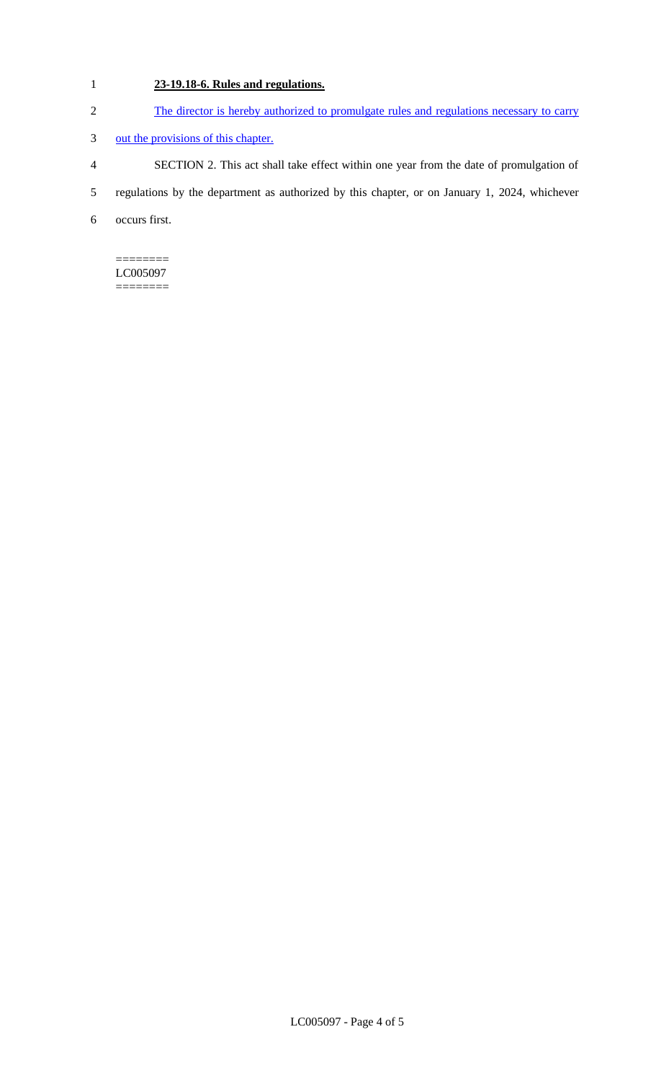# 1 **23-19.18-6. Rules and regulations.**

- 2 The director is hereby authorized to promulgate rules and regulations necessary to carry
- 3 out the provisions of this chapter.
- 4 SECTION 2. This act shall take effect within one year from the date of promulgation of
- 5 regulations by the department as authorized by this chapter, or on January 1, 2024, whichever
- 6 occurs first.

#### ======== LC005097

========